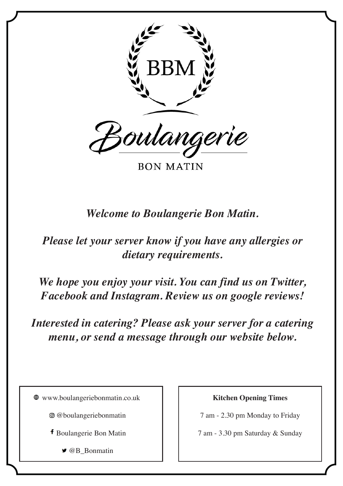

**BON MATIN** 

*Welcome to Boulangerie Bon Matin.* 

*Please let your server know if you have any allergies or dietary requirements.* 

*We hope you enjoy your visit. You can find us on Twitter, Facebook and Instagram. Review us on google reviews!*

*Interested in catering? Please ask your server for a catering menu, or send a message through our website below.* 

www.boulangeriebonmatin.co.uk

- @boulangeriebonmatin
- Boulangerie Bon Matin
	- **@B** Bonmatin

**Kitchen Opening Times**

7 am - 2.30 pm Monday to Friday

7 am - 3.30 pm Saturday & Sunday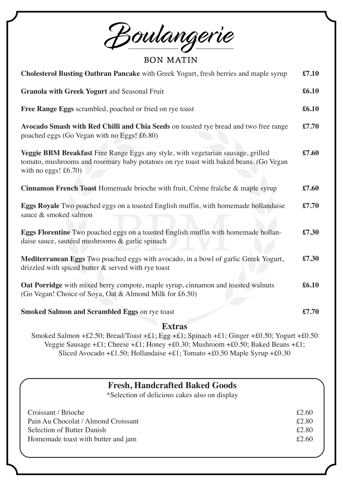Boulangerie

**BON MATIN** 

| <b>Cholesterol Busting Oatbran Pancake</b> with Greek Yogurt, fresh berries and maple syrup                                                                                                         | £7.10 |  |  |
|-----------------------------------------------------------------------------------------------------------------------------------------------------------------------------------------------------|-------|--|--|
| Granola with Greek Yogurt and Seasonal Fruit                                                                                                                                                        | £6.10 |  |  |
| Free Range Eggs scrambled, poached or fried on rye toast                                                                                                                                            | £6.10 |  |  |
| Avocado Smash with Red Chilli and Chia Seeds on toasted rye bread and two free range<br>poached eggs (Go Vegan with no Eggs! £6.80)                                                                 | £7.70 |  |  |
| Veggie BBM Breakfast Free Range Eggs any style, with vegetarian sausage, grilled<br>tomato, mushrooms and rosemary baby potatoes on rye toast with baked beans. (Go Vegan<br>with no eggs! $£6.70)$ | £7.60 |  |  |
| Cinnamon French Toast Homemade brioche with fruit, Crème fraîche & maple syrup                                                                                                                      | £7.60 |  |  |
| <b>Eggs Royale</b> Two poached eggs on a toasted English muffin, with homemade hollandaise<br>sauce & smoked salmon                                                                                 | £7.70 |  |  |
| Eggs Florentine Two poached eggs on a toasted English muffin with homemade hollan-<br>daise sauce, sautéed mushrooms & garlic spinach                                                               | £7.30 |  |  |
| Mediterranean Eggs Two poached eggs with avocado, in a bowl of garlic Greek Yogurt,<br>drizzled with spiced butter & served with rye toast                                                          | £7.30 |  |  |
| Oat Porridge with mixed berry compote, maple syrup, cinnamon and toasted walnuts<br>(Go Vegan! Choice of Soya, Oat & Almond Milk for £6.50)                                                         | £6.10 |  |  |
| Smoked Salmon and Scrambled Eggs on rye toast                                                                                                                                                       | £7.70 |  |  |
| <b>Extras</b>                                                                                                                                                                                       |       |  |  |
| Smoked Salmon +£2.50; Bread/Toast +£1; Egg +£1; Spinach +£1; Ginger +£0.50; Yogurt +£0.50                                                                                                           |       |  |  |

Veggie Sausage +£1; Cheese +£1; Honey +£0.30; Mushroom +£0.50; Baked Beans +£1; Sliced Avocado +£1.50; Hollandaise +£1; Tomato +£0.50 Maple Syrup +£0.30

## **Fresh, Handcrafted Baked Goods**

\*Selection of delicious cakes also on display

| Croissant / Brioche                 | £2.60 |
|-------------------------------------|-------|
| Pain Au Chocolat / Almond Croissant | £2.80 |
| Selection of Butter Danish          | £2.80 |
| Homemade toast with butter and jam  | £2.60 |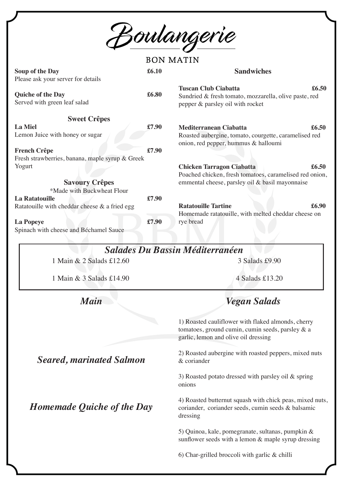<u>Boulangerie</u>

**BON MATIN** 

| Soup of the Day                                                                         | £6.10 | <b>Sandwiches</b>                                                                                                                 |
|-----------------------------------------------------------------------------------------|-------|-----------------------------------------------------------------------------------------------------------------------------------|
| Please ask your server for details<br>Quiche of the Day<br>Served with green leaf salad | £6.80 | <b>Tuscan Club Ciabatta</b><br>£6.50<br>Sundried & fresh tomato, mozzarella, olive paste, red<br>pepper & parsley oil with rocket |
| <b>Sweet Crêpes</b>                                                                     |       |                                                                                                                                   |
| <b>La Miel</b><br>Lemon Juice with honey or sugar                                       | £7.90 | Mediterranean Ciabatta<br>£6.50<br>Roasted aubergine, tomato, courgette, caramelised red<br>onion, red pepper, hummus & halloumi  |
| <b>French Crêpe</b><br>Fresh strawberries, banana, maple syrup & Greek                  | £7.90 |                                                                                                                                   |
| Yogurt                                                                                  |       | <b>Chicken Tarragon Ciabatta</b><br>£6.50<br>Poached chicken, fresh tomatoes, caramelised red onion,                              |
| <b>Savoury Crêpes</b><br>*Made with Buckwheat Flour                                     |       | emmental cheese, parsley oil & basil mayonnaise                                                                                   |
| <b>La Ratatouille</b><br>Ratatouille with cheddar cheese $\&$ a fried egg               | £7.90 | <b>Ratatouille Tartine</b><br>£6.90<br>Homemade ratatouille, with melted cheddar cheese on                                        |
| La Popeye<br>Spinach with cheese and Béchamel Sauce                                     | £7.90 | rye bread                                                                                                                         |
|                                                                                         |       | <b>Salades Du Bassin Méditerranéen</b>                                                                                            |
| 1 Main & 2 Salads £12.60                                                                |       | 3 Salads £9.90                                                                                                                    |
| 1 Main & 3 Salads £14.90                                                                |       | 4 Salads £13.20                                                                                                                   |

*Main*

*Vegan Salads*

1) Roasted cauliflower with flaked almonds, cherry tomatoes, ground cumin, cumin seeds, parsley & a garlic, lemon and olive oil dressing

2) Roasted aubergine with roasted peppers, mixed nuts & coriander

3) Roasted potato dressed with parsley oil & spring onions

4) Roasted butternut squash with chick peas, mixed nuts, coriander, coriander seeds, cumin seeds & balsamic dressing

5) Quinoa, kale, pomegranate, sultanas, pumpkin & sunflower seeds with a lemon & maple syrup dressing

6) Char-grilled broccoli with garlic & chilli

*Seared, marinated Salmon*

*Homemade Quiche of the Day*